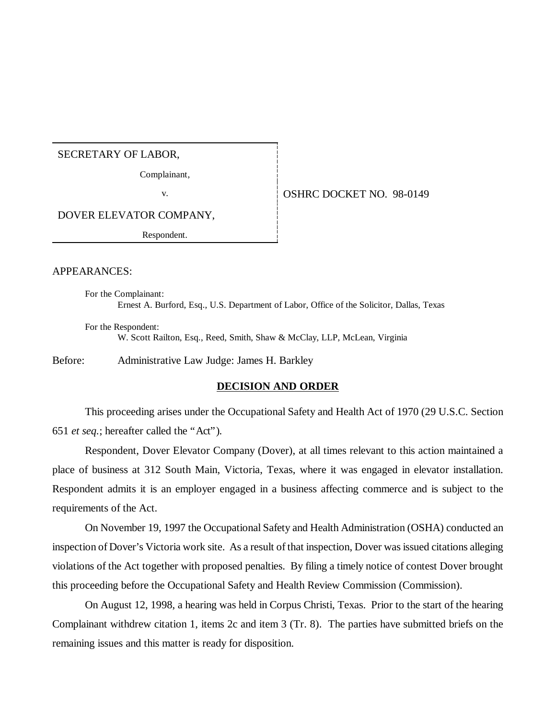#### SECRETARY OF LABOR,

Complainant,

v. 6 | OSHRC DOCKET NO. 98-0149

DOVER ELEVATOR COMPANY,

Respondent.

### APPEARANCES:

For the Complainant: Ernest A. Burford, Esq., U.S. Department of Labor, Office of the Solicitor, Dallas, Texas

For the Respondent: W. Scott Railton, Esq., Reed, Smith, Shaw & McClay, LLP, McLean, Virginia

Before: Administrative Law Judge: James H. Barkley

## **DECISION AND ORDER**

This proceeding arises under the Occupational Safety and Health Act of 1970 (29 U.S.C. Section 651 *et seq.*; hereafter called the "Act").

Respondent, Dover Elevator Company (Dover), at all times relevant to this action maintained a place of business at 312 South Main, Victoria, Texas, where it was engaged in elevator installation. Respondent admits it is an employer engaged in a business affecting commerce and is subject to the requirements of the Act.

On November 19, 1997 the Occupational Safety and Health Administration (OSHA) conducted an inspection of Dover's Victoria work site. As a result of that inspection, Dover was issued citations alleging violations of the Act together with proposed penalties. By filing a timely notice of contest Dover brought this proceeding before the Occupational Safety and Health Review Commission (Commission).

On August 12, 1998, a hearing was held in Corpus Christi, Texas. Prior to the start of the hearing Complainant withdrew citation 1, items 2c and item 3 (Tr. 8). The parties have submitted briefs on the remaining issues and this matter is ready for disposition.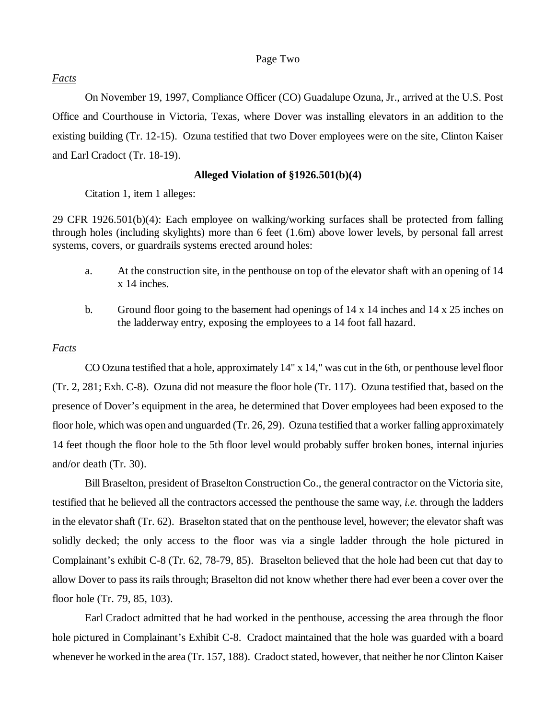### Page Two

## *Facts*

On November 19, 1997, Compliance Officer (CO) Guadalupe Ozuna, Jr., arrived at the U.S. Post Office and Courthouse in Victoria, Texas, where Dover was installing elevators in an addition to the existing building (Tr. 12-15). Ozuna testified that two Dover employees were on the site, Clinton Kaiser and Earl Cradoct (Tr. 18-19).

## **Alleged Violation of §1926.501(b)(4)**

Citation 1, item 1 alleges:

29 CFR 1926.501(b)(4): Each employee on walking/working surfaces shall be protected from falling through holes (including skylights) more than 6 feet (1.6m) above lower levels, by personal fall arrest systems, covers, or guardrails systems erected around holes:

- a. At the construction site, in the penthouse on top of the elevator shaft with an opening of 14 x 14 inches.
- b. Ground floor going to the basement had openings of 14 x 14 inches and 14 x 25 inches on the ladderway entry, exposing the employees to a 14 foot fall hazard.

## *Facts*

CO Ozuna testified that a hole, approximately 14" x 14," was cut in the 6th, or penthouse level floor (Tr. 2, 281; Exh. C-8). Ozuna did not measure the floor hole (Tr. 117). Ozuna testified that, based on the presence of Dover's equipment in the area, he determined that Dover employees had been exposed to the floor hole, which was open and unguarded (Tr. 26, 29). Ozuna testified that a worker falling approximately 14 feet though the floor hole to the 5th floor level would probably suffer broken bones, internal injuries and/or death (Tr. 30).

Bill Braselton, president of Braselton Construction Co., the general contractor on the Victoria site, testified that he believed all the contractors accessed the penthouse the same way, *i.e.* through the ladders in the elevator shaft (Tr. 62). Braselton stated that on the penthouse level, however; the elevator shaft was solidly decked; the only access to the floor was via a single ladder through the hole pictured in Complainant's exhibit C-8 (Tr. 62, 78-79, 85). Braselton believed that the hole had been cut that day to allow Dover to pass its rails through; Braselton did not know whether there had ever been a cover over the floor hole (Tr. 79, 85, 103).

Earl Cradoct admitted that he had worked in the penthouse, accessing the area through the floor hole pictured in Complainant's Exhibit C-8. Cradoct maintained that the hole was guarded with a board whenever he worked in the area (Tr. 157, 188). Cradoct stated, however, that neither he nor Clinton Kaiser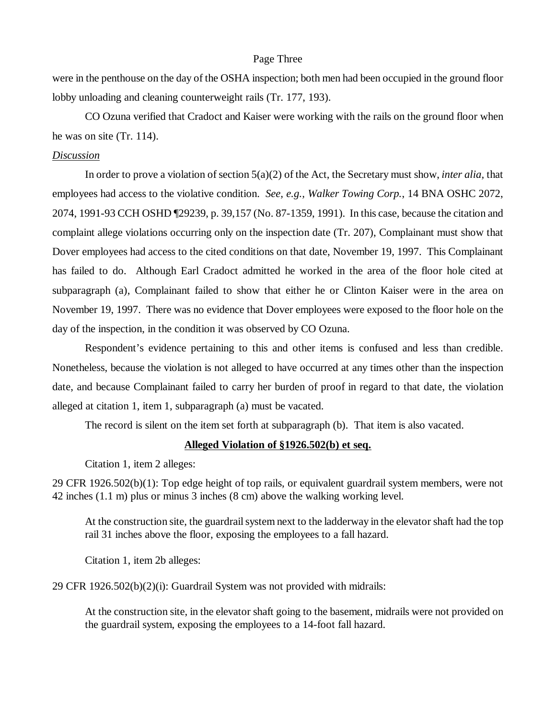#### Page Three

were in the penthouse on the day of the OSHA inspection; both men had been occupied in the ground floor lobby unloading and cleaning counterweight rails (Tr. 177, 193).

CO Ozuna verified that Cradoct and Kaiser were working with the rails on the ground floor when he was on site (Tr. 114).

### *Discussion*

In order to prove a violation of section 5(a)(2) of the Act, the Secretary must show, *inter alia,* that employees had access to the violative condition. *See, e.g., Walker Towing Corp.*, 14 BNA OSHC 2072, 2074, 1991-93 CCH OSHD ¶29239, p. 39,157 (No. 87-1359, 1991). In this case, because the citation and complaint allege violations occurring only on the inspection date (Tr. 207), Complainant must show that Dover employees had access to the cited conditions on that date, November 19, 1997. This Complainant has failed to do. Although Earl Cradoct admitted he worked in the area of the floor hole cited at subparagraph (a), Complainant failed to show that either he or Clinton Kaiser were in the area on November 19, 1997. There was no evidence that Dover employees were exposed to the floor hole on the day of the inspection, in the condition it was observed by CO Ozuna.

Respondent's evidence pertaining to this and other items is confused and less than credible. Nonetheless, because the violation is not alleged to have occurred at any times other than the inspection date, and because Complainant failed to carry her burden of proof in regard to that date, the violation alleged at citation 1, item 1, subparagraph (a) must be vacated.

The record is silent on the item set forth at subparagraph (b). That item is also vacated.

## **Alleged Violation of §1926.502(b) et seq.**

Citation 1, item 2 alleges:

29 CFR 1926.502(b)(1): Top edge height of top rails, or equivalent guardrail system members, were not 42 inches (1.1 m) plus or minus 3 inches (8 cm) above the walking working level.

At the construction site, the guardrail system next to the ladderway in the elevator shaft had the top rail 31 inches above the floor, exposing the employees to a fall hazard.

Citation 1, item 2b alleges:

29 CFR 1926.502(b)(2)(i): Guardrail System was not provided with midrails:

At the construction site, in the elevator shaft going to the basement, midrails were not provided on the guardrail system, exposing the employees to a 14-foot fall hazard.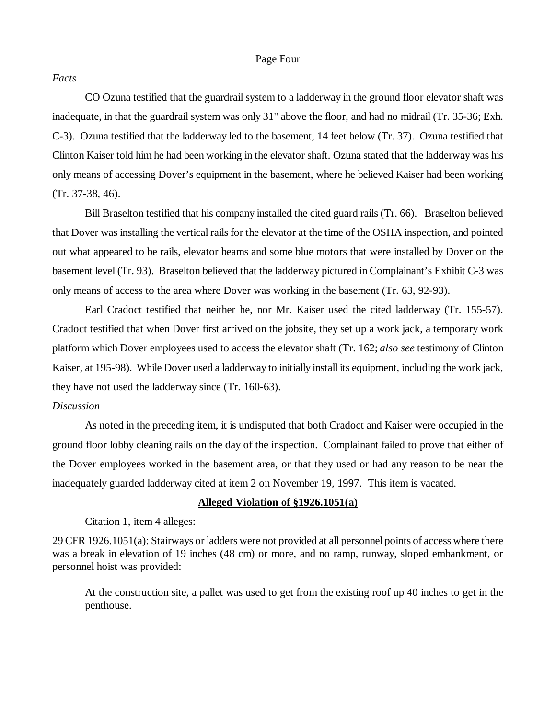### Page Four

#### *Facts*

CO Ozuna testified that the guardrail system to a ladderway in the ground floor elevator shaft was inadequate, in that the guardrail system was only 31" above the floor, and had no midrail (Tr. 35-36; Exh. C-3). Ozuna testified that the ladderway led to the basement, 14 feet below (Tr. 37). Ozuna testified that Clinton Kaiser told him he had been working in the elevator shaft. Ozuna stated that the ladderway was his only means of accessing Dover's equipment in the basement, where he believed Kaiser had been working (Tr. 37-38, 46).

Bill Braselton testified that his company installed the cited guard rails (Tr. 66). Braselton believed that Dover was installing the vertical rails for the elevator at the time of the OSHA inspection, and pointed out what appeared to be rails, elevator beams and some blue motors that were installed by Dover on the basement level (Tr. 93). Braselton believed that the ladderway pictured in Complainant's Exhibit C-3 was only means of access to the area where Dover was working in the basement (Tr. 63, 92-93).

Earl Cradoct testified that neither he, nor Mr. Kaiser used the cited ladderway (Tr. 155-57). Cradoct testified that when Dover first arrived on the jobsite, they set up a work jack, a temporary work platform which Dover employees used to access the elevator shaft (Tr. 162; *also see* testimony of Clinton Kaiser, at 195-98). While Dover used a ladderway to initially install its equipment, including the work jack, they have not used the ladderway since (Tr. 160-63).

## *Discussion*

As noted in the preceding item, it is undisputed that both Cradoct and Kaiser were occupied in the ground floor lobby cleaning rails on the day of the inspection. Complainant failed to prove that either of the Dover employees worked in the basement area, or that they used or had any reason to be near the inadequately guarded ladderway cited at item 2 on November 19, 1997. This item is vacated.

#### **Alleged Violation of §1926.1051(a)**

Citation 1, item 4 alleges:

29 CFR 1926.1051(a): Stairways or ladders were not provided at all personnel points of access where there was a break in elevation of 19 inches (48 cm) or more, and no ramp, runway, sloped embankment, or personnel hoist was provided:

At the construction site, a pallet was used to get from the existing roof up 40 inches to get in the penthouse.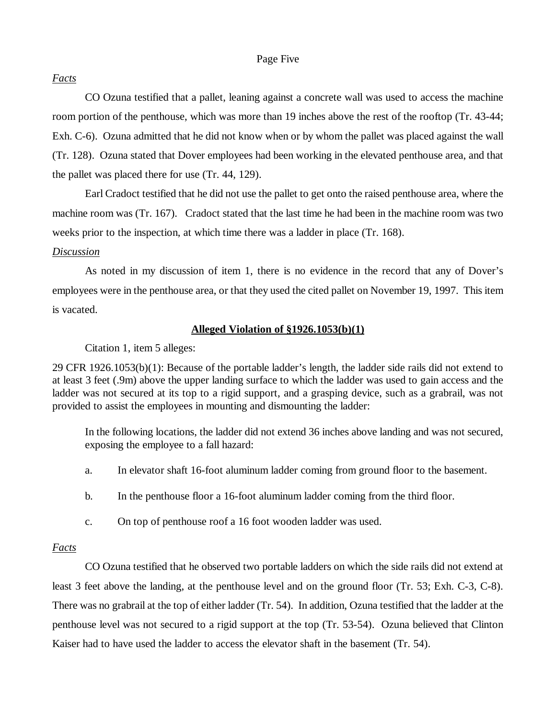### Page Five

## *Facts*

CO Ozuna testified that a pallet, leaning against a concrete wall was used to access the machine room portion of the penthouse, which was more than 19 inches above the rest of the rooftop (Tr. 43-44; Exh. C-6). Ozuna admitted that he did not know when or by whom the pallet was placed against the wall (Tr. 128). Ozuna stated that Dover employees had been working in the elevated penthouse area, and that the pallet was placed there for use (Tr. 44, 129).

Earl Cradoct testified that he did not use the pallet to get onto the raised penthouse area, where the machine room was (Tr. 167). Cradoct stated that the last time he had been in the machine room was two weeks prior to the inspection, at which time there was a ladder in place (Tr. 168).

## *Discussion*

As noted in my discussion of item 1, there is no evidence in the record that any of Dover's employees were in the penthouse area, or that they used the cited pallet on November 19, 1997. This item is vacated.

## **Alleged Violation of §1926.1053(b)(1)**

Citation 1, item 5 alleges:

29 CFR 1926.1053(b)(1): Because of the portable ladder's length, the ladder side rails did not extend to at least 3 feet (.9m) above the upper landing surface to which the ladder was used to gain access and the ladder was not secured at its top to a rigid support, and a grasping device, such as a grabrail, was not provided to assist the employees in mounting and dismounting the ladder:

In the following locations, the ladder did not extend 36 inches above landing and was not secured, exposing the employee to a fall hazard:

- a. In elevator shaft 16-foot aluminum ladder coming from ground floor to the basement.
- b. In the penthouse floor a 16-foot aluminum ladder coming from the third floor.
- c. On top of penthouse roof a 16 foot wooden ladder was used.

## *Facts*

CO Ozuna testified that he observed two portable ladders on which the side rails did not extend at least 3 feet above the landing, at the penthouse level and on the ground floor (Tr. 53; Exh. C-3, C-8). There was no grabrail at the top of either ladder (Tr. 54). In addition, Ozuna testified that the ladder at the penthouse level was not secured to a rigid support at the top (Tr. 53-54). Ozuna believed that Clinton Kaiser had to have used the ladder to access the elevator shaft in the basement (Tr. 54).